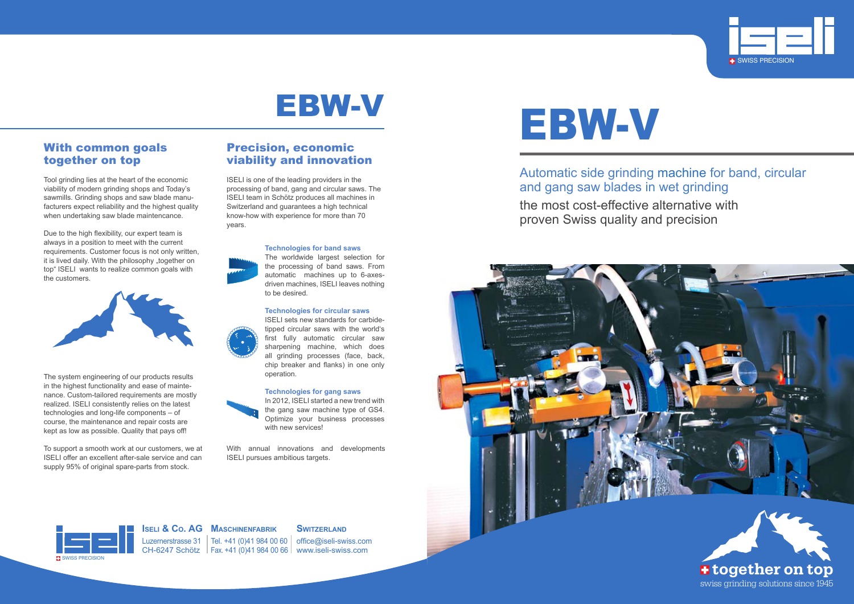Automatic side grinding machine for band, circular and gang saw blades in wet grinding the most cost-effective alternative with proven Swiss quality and precision

# EBW-V







Luzernerstrasse 31 | Tel. +41 (0)41 984 00 60 | office@iseli-swiss.com CH-6247 Schötz Fax. +41 (0)41 984 00 66 www.iseli-swiss.com



**Iseli & Co. AG Maschinenfabrik**

## **SWITZERLAND**



## With common goals together on top

Tool grinding lies at the heart of the economic viability of modern grinding shops and Today's sawmills. Grinding shops and saw blade manufacturers expect reliability and the highest quality when undertaking saw blade maintencance.

Due to the high flexibility, our expert team is always in a position to meet with the current requirements. Customer focus is not only written, it is lived daily. With the philosophy "together on top" ISELI wants to realize common goals with the customers.



In 2012, ISELI started a new trend with the gang saw machine type of GS4. Optimize your business processes with new services!

The system engineering of our products results in the highest functionality and ease of maintenance. Custom-tailored requirements are mostly realized. ISELI consistently relies on the latest technologies and long-life components – of course, the maintenance and repair costs are kept as low as possible. Quality that pays off!

To support a smooth work at our customers, we at ISELI offer an excellent after-sale service and can supply 95% of original spare-parts from stock.

## Precision, economic viability and innovation

ISELI is one of the leading providers in the processing of band, gang and circular saws. The ISELI team in Schötz produces all machines in Switzerland and guarantees a high technical know-how with experience for more than 70 years.

# **Technologies for band saws**

The worldwide largest selection for the processing of band saws. From automatic machines up to 6-axesdriven machines, ISELI leaves nothing to be desired.

## **Technologies for circular saws**

ISELI sets new standards for carbidetipped circular saws with the world's first fully automatic circular saw sharpening machine, which does all grinding processes (face, back, chip breaker and flanks) in one only operation.

## **Technologies for gang saws**



With annual innovations and developments ISELI pursues ambitious targets.